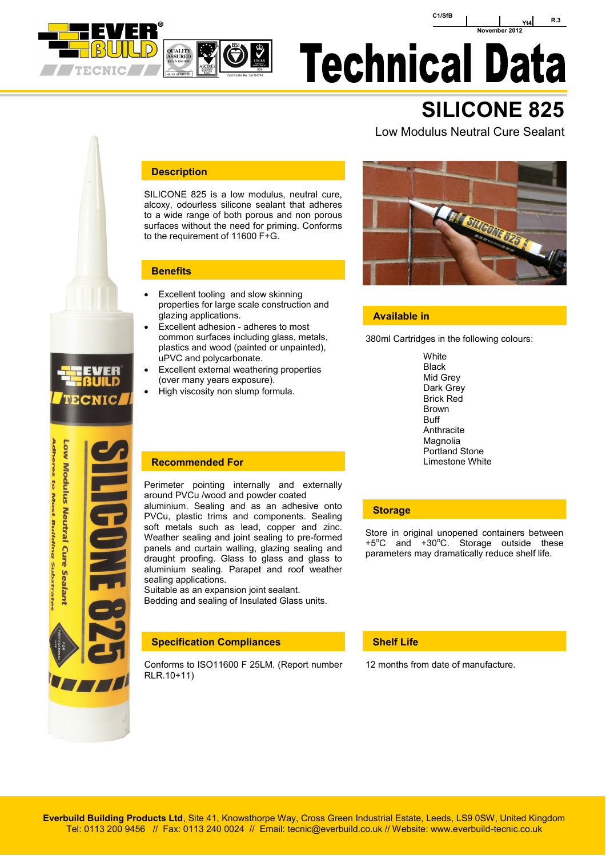

**CNIC** 

**Adheres to Most Building Substrate** Low Modulus Neutral Cure Sealant



## **Technical Data**

### **SILICONE 825**

### Low Modulus Neutral Cure Sealant

### **Description**

SILICONE 825 is a low modulus, neutral cure, alcoxy, odourless silicone sealant that adheres to a wide range of both porous and non porous surfaces without the need for priming. Conforms to the requirement of 11600 F+G.

### **Benefits**

- Excellent tooling and slow skinning properties for large scale construction and glazing applications.
- Excellent adhesion adheres to most common surfaces including glass, metals, plastics and wood (painted or unpainted), uPVC and polycarbonate.
- Excellent external weathering properties (over many years exposure).
- High viscosity non slump formula.



### **Available in**

380ml Cartridges in the following colours:

**White** Black Mid Grey Dark Grey Brick Red Brown Buff **Anthracite** Magnolia Portland Stone

### **Recommended For Commended For Limestone White**

Perimeter pointing internally and externally around PVCu /wood and powder coated aluminium. Sealing and as an adhesive onto PVCu, plastic trims and components. Sealing soft metals such as lead, copper and zinc. Weather sealing and joint sealing to pre-formed panels and curtain walling, glazing sealing and draught proofing. Glass to glass and glass to aluminium sealing. Parapet and roof weather sealing applications.

Suitable as an expansion joint sealant. Bedding and sealing of Insulated Glass units.

### **Specification Compliances**

Conforms to ISO11600 F 25LM. (Report number RLR.10+11)

### **Storage**

Store in original unopened containers between  $+5^{\circ}$ C and  $+30^{\circ}$ C. Storage outside these parameters may dramatically reduce shelf life.

### **Shelf Life**

12 months from date of manufacture.